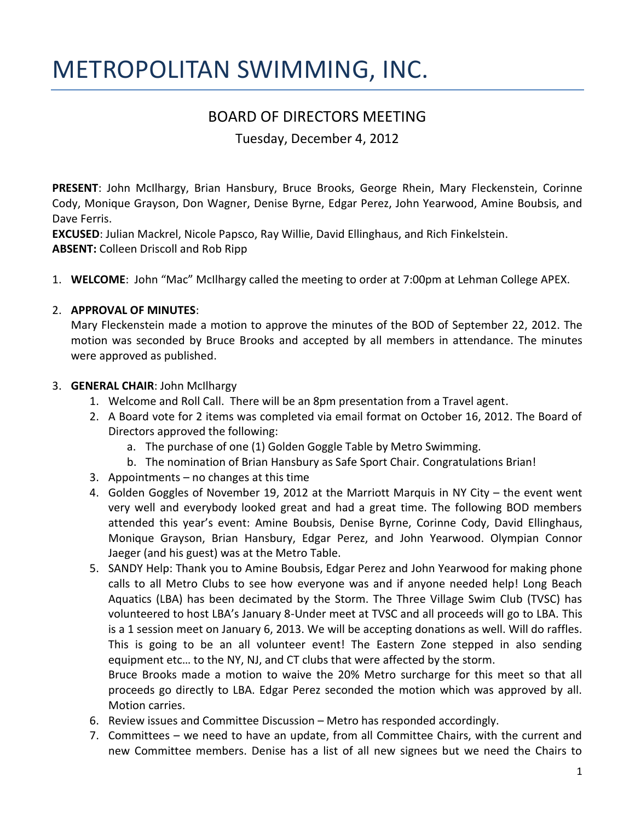# METROPOLITAN SWIMMING, INC.

# BOARD OF DIRECTORS MEETING

Tuesday, December 4, 2012

**PRESENT**: John McIlhargy, Brian Hansbury, Bruce Brooks, George Rhein, Mary Fleckenstein, Corinne Cody, Monique Grayson, Don Wagner, Denise Byrne, Edgar Perez, John Yearwood, Amine Boubsis, and Dave Ferris.

**EXCUSED**: Julian Mackrel, Nicole Papsco, Ray Willie, David Ellinghaus, and Rich Finkelstein. **ABSENT:** Colleen Driscoll and Rob Ripp

1. **WELCOME**: John "Mac" McIlhargy called the meeting to order at 7:00pm at Lehman College APEX.

# 2. **APPROVAL OF MINUTES**:

Mary Fleckenstein made a motion to approve the minutes of the BOD of September 22, 2012. The motion was seconded by Bruce Brooks and accepted by all members in attendance. The minutes were approved as published.

# 3. **GENERAL CHAIR**: John McIlhargy

- 1. Welcome and Roll Call. There will be an 8pm presentation from a Travel agent.
- 2. A Board vote for 2 items was completed via email format on October 16, 2012. The Board of Directors approved the following:
	- a. The purchase of one (1) Golden Goggle Table by Metro Swimming.
	- b. The nomination of Brian Hansbury as Safe Sport Chair. Congratulations Brian!
- 3. Appointments no changes at this time
- 4. Golden Goggles of November 19, 2012 at the Marriott Marquis in NY City the event went very well and everybody looked great and had a great time. The following BOD members attended this year's event: Amine Boubsis, Denise Byrne, Corinne Cody, David Ellinghaus, Monique Grayson, Brian Hansbury, Edgar Perez, and John Yearwood. Olympian Connor Jaeger (and his guest) was at the Metro Table.
- 5. SANDY Help: Thank you to Amine Boubsis, Edgar Perez and John Yearwood for making phone calls to all Metro Clubs to see how everyone was and if anyone needed help! Long Beach Aquatics (LBA) has been decimated by the Storm. The Three Village Swim Club (TVSC) has volunteered to host LBA's January 8-Under meet at TVSC and all proceeds will go to LBA. This is a 1 session meet on January 6, 2013. We will be accepting donations as well. Will do raffles. This is going to be an all volunteer event! The Eastern Zone stepped in also sending equipment etc… to the NY, NJ, and CT clubs that were affected by the storm. Bruce Brooks made a motion to waive the 20% Metro surcharge for this meet so that all

proceeds go directly to LBA. Edgar Perez seconded the motion which was approved by all. Motion carries.

- 6. Review issues and Committee Discussion Metro has responded accordingly.
- 7. Committees we need to have an update, from all Committee Chairs, with the current and new Committee members. Denise has a list of all new signees but we need the Chairs to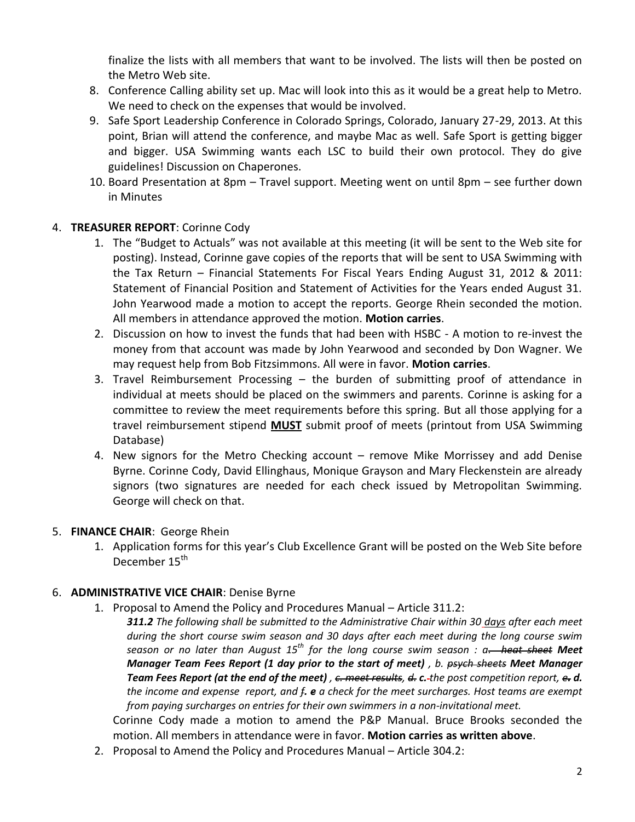finalize the lists with all members that want to be involved. The lists will then be posted on the Metro Web site.

- 8. Conference Calling ability set up. Mac will look into this as it would be a great help to Metro. We need to check on the expenses that would be involved.
- 9. Safe Sport Leadership Conference in Colorado Springs, Colorado, January 27-29, 2013. At this point, Brian will attend the conference, and maybe Mac as well. Safe Sport is getting bigger and bigger. USA Swimming wants each LSC to build their own protocol. They do give guidelines! Discussion on Chaperones.
- 10. Board Presentation at 8pm Travel support. Meeting went on until 8pm see further down in Minutes

# 4. **TREASURER REPORT**: Corinne Cody

- 1. The "Budget to Actuals" was not available at this meeting (it will be sent to the Web site for posting). Instead, Corinne gave copies of the reports that will be sent to USA Swimming with the Tax Return – Financial Statements For Fiscal Years Ending August 31, 2012 & 2011: Statement of Financial Position and Statement of Activities for the Years ended August 31. John Yearwood made a motion to accept the reports. George Rhein seconded the motion. All members in attendance approved the motion. **Motion carries**.
- 2. Discussion on how to invest the funds that had been with HSBC A motion to re-invest the money from that account was made by John Yearwood and seconded by Don Wagner. We may request help from Bob Fitzsimmons. All were in favor. **Motion carries**.
- 3. Travel Reimbursement Processing the burden of submitting proof of attendance in individual at meets should be placed on the swimmers and parents. Corinne is asking for a committee to review the meet requirements before this spring. But all those applying for a travel reimbursement stipend **MUST** submit proof of meets (printout from USA Swimming Database)
- 4. New signors for the Metro Checking account remove Mike Morrissey and add Denise Byrne. Corinne Cody, David Ellinghaus, Monique Grayson and Mary Fleckenstein are already signors (two signatures are needed for each check issued by Metropolitan Swimming. George will check on that.

# 5. **FINANCE CHAIR**: George Rhein

1. Application forms for this year's Club Excellence Grant will be posted on the Web Site before December 15<sup>th</sup>

# 6. **ADMINISTRATIVE VICE CHAIR**: Denise Byrne

- 1. Proposal to Amend the Policy and Procedures Manual Article 311.2:
	- *311.2 The following shall be submitted to the Administrative Chair within 30 days after each meet during the short course swim season and 30 days after each meet during the long course swim season or no later than August 15th for the long course swim season : a. heat sheet Meet Manager Team Fees Report (1 day prior to the start of meet) , b. psych sheets Meet Manager Team Fees Report (at the end of the meet) , c. meet results, d. c. the post competition report, e. d. the income and expense report, and f. e a check for the meet surcharges. Host teams are exempt from paying surcharges on entries for their own swimmers in a non-invitational meet.*

Corinne Cody made a motion to amend the P&P Manual. Bruce Brooks seconded the motion. All members in attendance were in favor. **Motion carries as written above**.

2. Proposal to Amend the Policy and Procedures Manual – Article 304.2: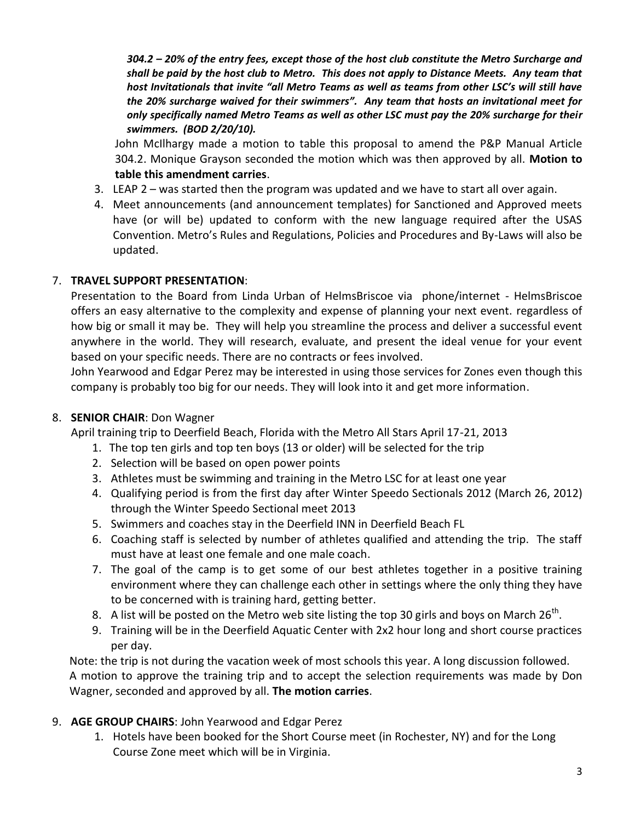*304.2 – 20% of the entry fees, except those of the host club constitute the Metro Surcharge and shall be paid by the host club to Metro. This does not apply to Distance Meets. Any team that host Invitationals that invite "all Metro Teams as well as teams from other LSC's will still have the 20% surcharge waived for their swimmers". Any team that hosts an invitational meet for only specifically named Metro Teams as well as other LSC must pay the 20% surcharge for their swimmers. (BOD 2/20/10).*

John McIlhargy made a motion to table this proposal to amend the P&P Manual Article 304.2. Monique Grayson seconded the motion which was then approved by all. **Motion to table this amendment carries**.

- 3. LEAP 2 was started then the program was updated and we have to start all over again.
- 4. Meet announcements (and announcement templates) for Sanctioned and Approved meets have (or will be) updated to conform with the new language required after the USAS Convention. Metro's Rules and Regulations, Policies and Procedures and By-Laws will also be updated.

#### 7. **TRAVEL SUPPORT PRESENTATION**:

Presentation to the Board from Linda Urban of HelmsBriscoe via phone/internet - HelmsBriscoe offers an easy alternative to the complexity and expense of planning your next event. regardless of how big or small it may be. They will help you streamline the process and deliver a successful event anywhere in the world. They will research, evaluate, and present the ideal venue for your event based on your specific needs. There are no contracts or fees involved.

John Yearwood and Edgar Perez may be interested in using those services for Zones even though this company is probably too big for our needs. They will look into it and get more information.

#### 8. **SENIOR CHAIR**: Don Wagner

April training trip to Deerfield Beach, Florida with the Metro All Stars April 17-21, 2013

- 1. The top ten girls and top ten boys (13 or older) will be selected for the trip
- 2. Selection will be based on open power points
- 3. Athletes must be swimming and training in the Metro LSC for at least one year
- 4. Qualifying period is from the first day after Winter Speedo Sectionals 2012 (March 26, 2012) through the Winter Speedo Sectional meet 2013
- 5. Swimmers and coaches stay in the Deerfield INN in Deerfield Beach FL
- 6. Coaching staff is selected by number of athletes qualified and attending the trip. The staff must have at least one female and one male coach.
- 7. The goal of the camp is to get some of our best athletes together in a positive training environment where they can challenge each other in settings where the only thing they have to be concerned with is training hard, getting better.
- 8. A list will be posted on the Metro web site listing the top 30 girls and boys on March 26<sup>th</sup>.
- 9. Training will be in the Deerfield Aquatic Center with 2x2 hour long and short course practices per day.

Note: the trip is not during the vacation week of most schools this year. A long discussion followed. A motion to approve the training trip and to accept the selection requirements was made by Don Wagner, seconded and approved by all. **The motion carries**.

# 9. **AGE GROUP CHAIRS**: John Yearwood and Edgar Perez

1. Hotels have been booked for the Short Course meet (in Rochester, NY) and for the Long Course Zone meet which will be in Virginia.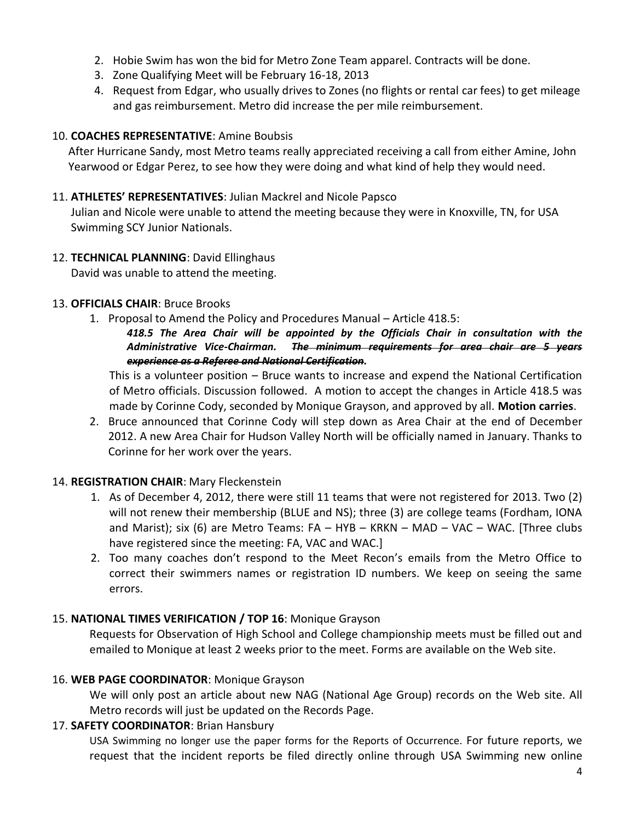- 2. Hobie Swim has won the bid for Metro Zone Team apparel. Contracts will be done.
- 3. Zone Qualifying Meet will be February 16-18, 2013
- 4. Request from Edgar, who usually drives to Zones (no flights or rental car fees) to get mileage and gas reimbursement. Metro did increase the per mile reimbursement.

#### 10. **COACHES REPRESENTATIVE**: Amine Boubsis

After Hurricane Sandy, most Metro teams really appreciated receiving a call from either Amine, John Yearwood or Edgar Perez, to see how they were doing and what kind of help they would need.

#### 11. **ATHLETES' REPRESENTATIVES**: Julian Mackrel and Nicole Papsco

Julian and Nicole were unable to attend the meeting because they were in Knoxville, TN, for USA Swimming SCY Junior Nationals.

12. **TECHNICAL PLANNING**: David Ellinghaus

David was unable to attend the meeting.

#### 13. **OFFICIALS CHAIR**: Bruce Brooks

1. Proposal to Amend the Policy and Procedures Manual – Article 418.5:

#### *418.5 The Area Chair will be appointed by the Officials Chair in consultation with the Administrative Vice-Chairman. The minimum requirements for area chair are 5 years experience as a Referee and National Certification.*

This is a volunteer position – Bruce wants to increase and expend the National Certification of Metro officials. Discussion followed. A motion to accept the changes in Article 418.5 was made by Corinne Cody, seconded by Monique Grayson, and approved by all. **Motion carries**.

2. Bruce announced that Corinne Cody will step down as Area Chair at the end of December 2012. A new Area Chair for Hudson Valley North will be officially named in January. Thanks to Corinne for her work over the years.

# 14. **REGISTRATION CHAIR**: Mary Fleckenstein

- 1. As of December 4, 2012, there were still 11 teams that were not registered for 2013. Two (2) will not renew their membership (BLUE and NS); three (3) are college teams (Fordham, IONA and Marist); six (6) are Metro Teams: FA – HYB – KRKN – MAD – VAC – WAC. [Three clubs have registered since the meeting: FA, VAC and WAC.]
- 2. Too many coaches don't respond to the Meet Recon's emails from the Metro Office to correct their swimmers names or registration ID numbers. We keep on seeing the same errors.

# 15. **NATIONAL TIMES VERIFICATION / TOP 16**: Monique Grayson

Requests for Observation of High School and College championship meets must be filled out and emailed to Monique at least 2 weeks prior to the meet. Forms are available on the Web site.

#### 16. **WEB PAGE COORDINATOR**: Monique Grayson

We will only post an article about new NAG (National Age Group) records on the Web site. All Metro records will just be updated on the Records Page.

# 17. **SAFETY COORDINATOR**: Brian Hansbury

USA Swimming no longer use the paper forms for the Reports of Occurrence. For future reports, we request that the incident reports be filed directly online through USA Swimming new online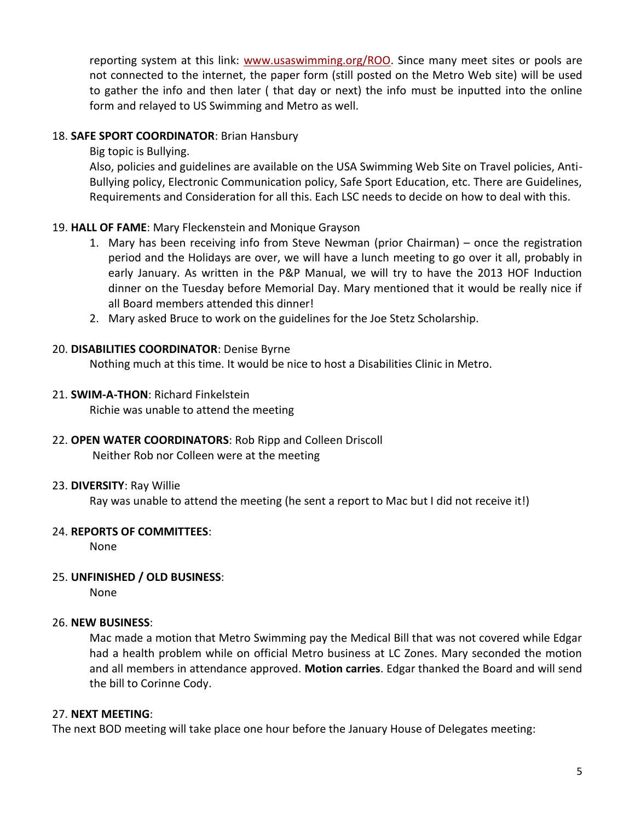reporting system at this link: [www.usaswimming.org/ROO.](http://www.usaswimming.org/ROO) Since many meet sites or pools are not connected to the internet, the paper form (still posted on the Metro Web site) will be used to gather the info and then later ( that day or next) the info must be inputted into the online form and relayed to US Swimming and Metro as well.

#### 18. **SAFE SPORT COORDINATOR**: Brian Hansbury

Big topic is Bullying.

Also, policies and guidelines are available on the USA Swimming Web Site on Travel policies, Anti-Bullying policy, Electronic Communication policy, Safe Sport Education, etc. There are Guidelines, Requirements and Consideration for all this. Each LSC needs to decide on how to deal with this.

# 19. **HALL OF FAME**: Mary Fleckenstein and Monique Grayson

- 1. Mary has been receiving info from Steve Newman (prior Chairman) once the registration period and the Holidays are over, we will have a lunch meeting to go over it all, probably in early January. As written in the P&P Manual, we will try to have the 2013 HOF Induction dinner on the Tuesday before Memorial Day. Mary mentioned that it would be really nice if all Board members attended this dinner!
- 2. Mary asked Bruce to work on the guidelines for the Joe Stetz Scholarship.

#### 20. **DISABILITIES COORDINATOR**: Denise Byrne

Nothing much at this time. It would be nice to host a Disabilities Clinic in Metro.

#### 21. **SWIM-A-THON**: Richard Finkelstein

Richie was unable to attend the meeting

#### 22. **OPEN WATER COORDINATORS**: Rob Ripp and Colleen Driscoll Neither Rob nor Colleen were at the meeting

#### 23. **DIVERSITY**: Ray Willie

Ray was unable to attend the meeting (he sent a report to Mac but I did not receive it!)

# 24. **REPORTS OF COMMITTEES**:

None

# 25. **UNFINISHED / OLD BUSINESS**:

None

#### 26. **NEW BUSINESS**:

Mac made a motion that Metro Swimming pay the Medical Bill that was not covered while Edgar had a health problem while on official Metro business at LC Zones. Mary seconded the motion and all members in attendance approved. **Motion carries**. Edgar thanked the Board and will send the bill to Corinne Cody.

#### 27. **NEXT MEETING**:

The next BOD meeting will take place one hour before the January House of Delegates meeting: